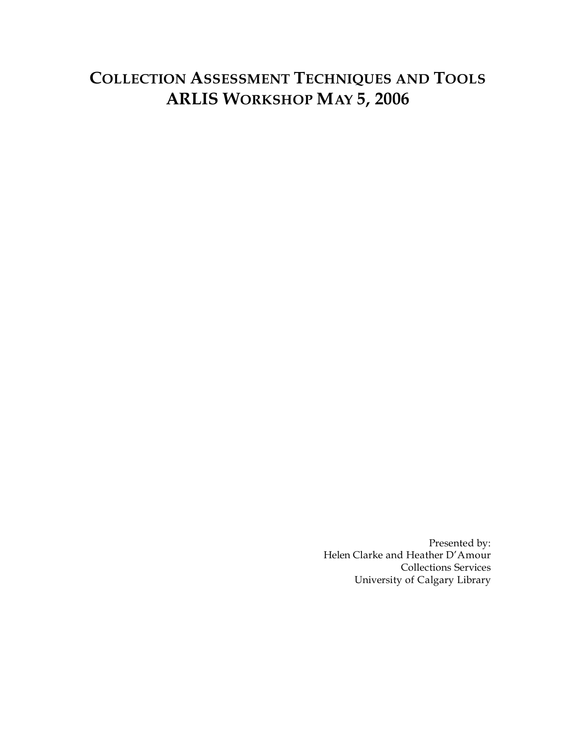# **COLLECTION ASSESSMENT TECHNIQUES AND TOOLS ARLIS WORKSHOP MAY 5, 2006**

Presented by: Helen Clarke and Heather D'Amour Collections Services University of Calgary Library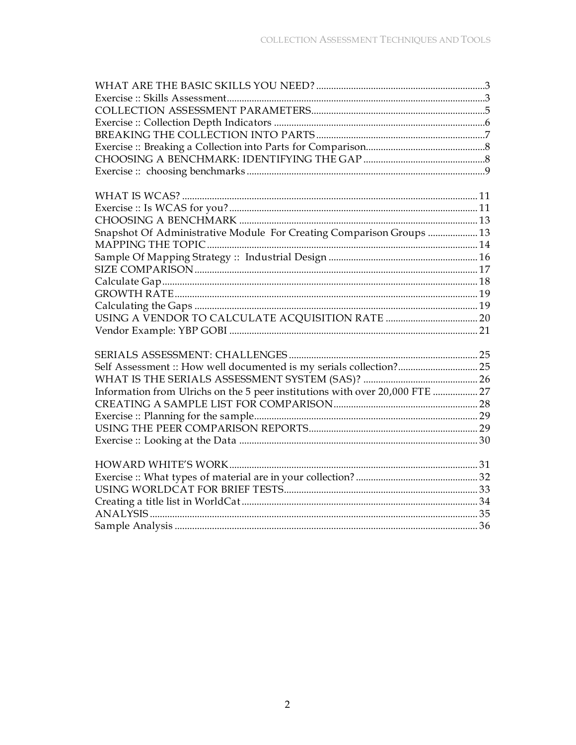| Snapshot Of Administrative Module For Creating Comparison Groups  13         |
|------------------------------------------------------------------------------|
|                                                                              |
|                                                                              |
|                                                                              |
|                                                                              |
|                                                                              |
|                                                                              |
|                                                                              |
|                                                                              |
|                                                                              |
|                                                                              |
| Self Assessment :: How well documented is my serials collection? 25          |
|                                                                              |
| Information from Ulrichs on the 5 peer institutions with over 20,000 FTE  27 |
|                                                                              |
|                                                                              |
|                                                                              |
|                                                                              |
|                                                                              |
|                                                                              |
|                                                                              |
|                                                                              |
|                                                                              |
|                                                                              |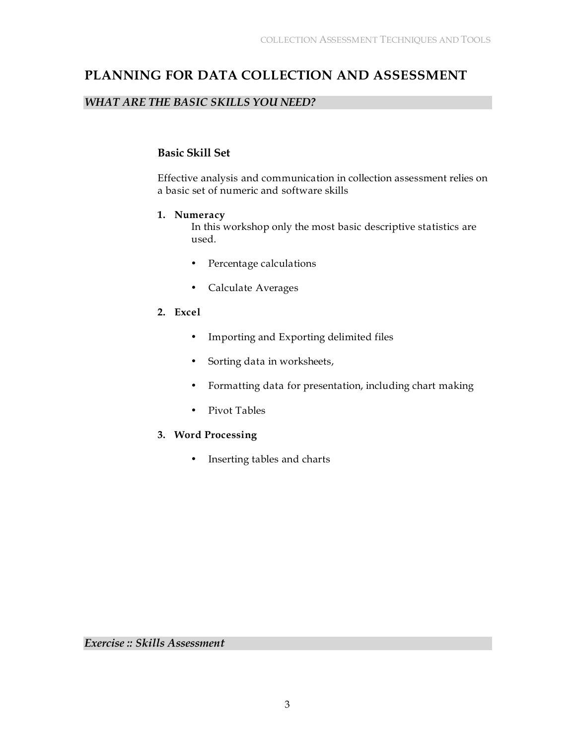# **PLANNING FOR DATA COLLECTION AND ASSESSMENT**

# *WHAT ARE THE BASIC SKILLS YOU NEED?*

# **Basic Skill Set**

Effective analysis and communication in collection assessment relies on a basic set of numeric and software skills

### **1. Numeracy**

In this workshop only the most basic descriptive statistics are used.

- Percentage calculations
- Calculate Averages
- **2. Excel**
	- Importing and Exporting delimited files
	- Sorting data in worksheets,
	- Formatting data for presentation, including chart making
	- Pivot Tables

# **3. Word Processing**

• Inserting tables and charts

*Exercise :: Skills Assessment*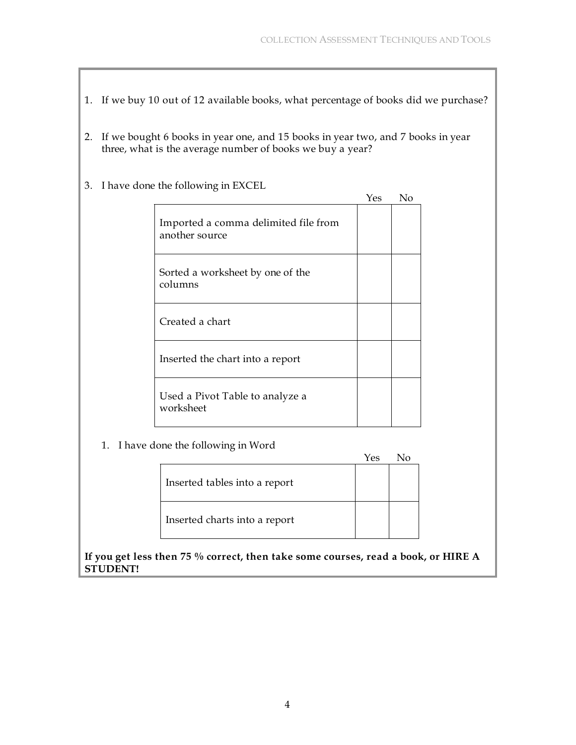- 1. If we buy 10 out of 12 available books, what percentage of books did we purchase?
- 2. If we bought 6 books in year one, and 15 books in year two, and 7 books in year three, what is the average number of books we buy a year?
- 3. I have done the following in EXCEL

|                                                        | Yes | No |
|--------------------------------------------------------|-----|----|
| Imported a comma delimited file from<br>another source |     |    |
| Sorted a worksheet by one of the<br>columns            |     |    |
| Created a chart                                        |     |    |
| Inserted the chart into a report                       |     |    |
| Used a Pivot Table to analyze a<br>worksheet           |     |    |

1. I have done the following in Word

|                               | Yes |  |
|-------------------------------|-----|--|
| Inserted tables into a report |     |  |
| Inserted charts into a report |     |  |

**If you get less then 75 % correct, then take some courses, read a book, or HIRE A STUDENT!**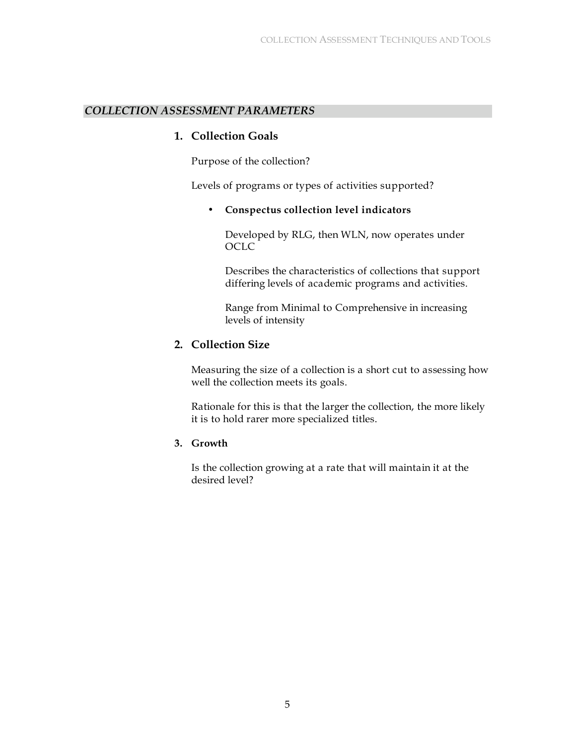### *COLLECTION ASSESSMENT PARAMETERS*

#### **1. Collection Goals**

Purpose of the collection?

Levels of programs or types of activities supported?

• **Conspectus collection level indicators**

Developed by RLG, then WLN, now operates under OCLC

Describes the characteristics of collections that support differing levels of academic programs and activities.

Range from Minimal to Comprehensive in increasing levels of intensity

### **2. Collection Size**

Measuring the size of a collection is a short cut to assessing how well the collection meets its goals.

Rationale for this is that the larger the collection, the more likely it is to hold rarer more specialized titles.

#### **3. Growth**

Is the collection growing at a rate that will maintain it at the desired level?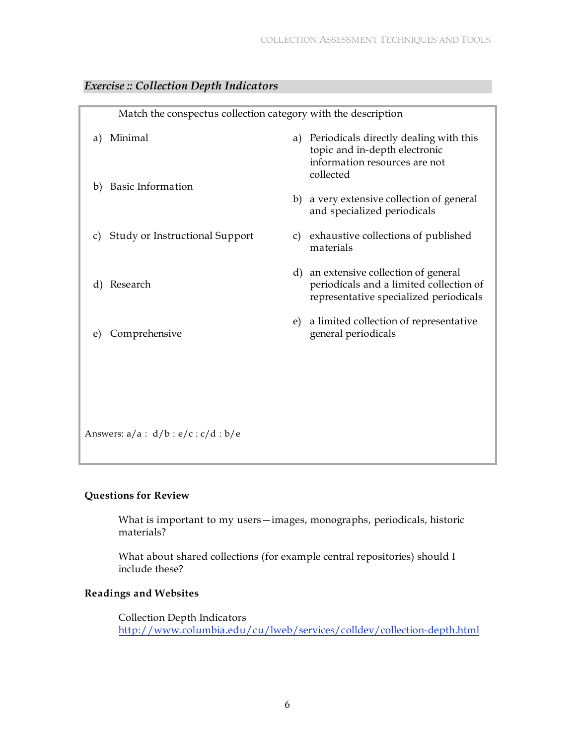|    | Match the conspectus collection category with the description |    |                                                                                                                            |
|----|---------------------------------------------------------------|----|----------------------------------------------------------------------------------------------------------------------------|
| a) | Minimal                                                       |    | a) Periodicals directly dealing with this<br>topic and in-depth electronic<br>information resources are not<br>collected   |
| b) | <b>Basic Information</b>                                      |    | b) a very extensive collection of general<br>and specialized periodicals                                                   |
| C) | <b>Study or Instructional Support</b>                         |    | c) exhaustive collections of published<br>materials                                                                        |
| d) | Research                                                      |    | d) an extensive collection of general<br>periodicals and a limited collection of<br>representative specialized periodicals |
| e) | Comprehensive                                                 | e) | a limited collection of representative<br>general periodicals                                                              |
|    |                                                               |    |                                                                                                                            |
|    | Answers: $a/a : d/b : e/c : c/d : b/e$                        |    |                                                                                                                            |
|    |                                                               |    |                                                                                                                            |

# *Exercise :: Collection Depth Indicators*

#### **Questions for Review**

What is important to my users—images, monographs, periodicals, historic materials?

What about shared collections (for example central repositories) should I include these?

## **Readings and Websites**

Collection Depth Indicators http://www.columbia.edu/cu/lweb/services/colldev/collection-depth.html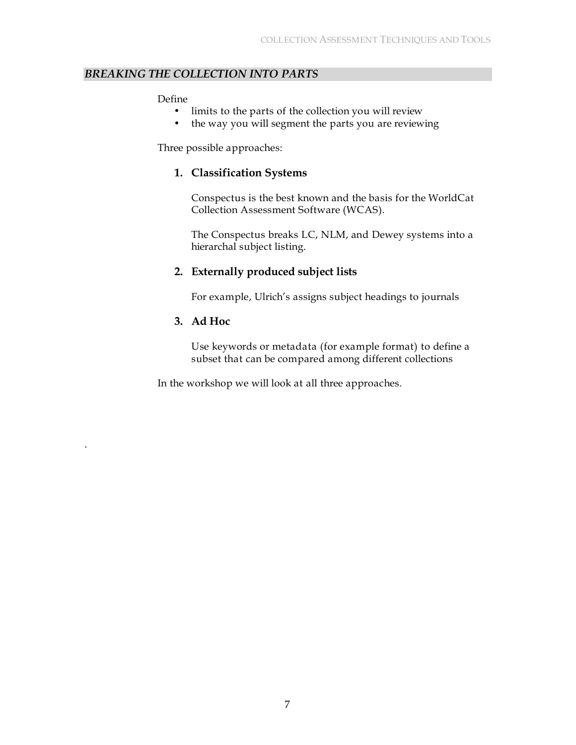### *BREAKING THE COLLECTION INTO PARTS*

#### Define

- limits to the parts of the collection you will review
- the way you will segment the parts you are reviewing

Three possible approaches:

## **1. Classification Systems**

Conspectus is the best known and the basis for the WorldCat Collection Assessment Software (WCAS).

The Conspectus breaks LC, NLM, and Dewey systems into a hierarchal subject listing.

# **2. Externally produced subject lists**

For example, Ulrich's assigns subject headings to journals

### **3. Ad Hoc**

.

Use keywords or metadata (for example format) to define a subset that can be compared among different collections

In the workshop we will look at all three approaches.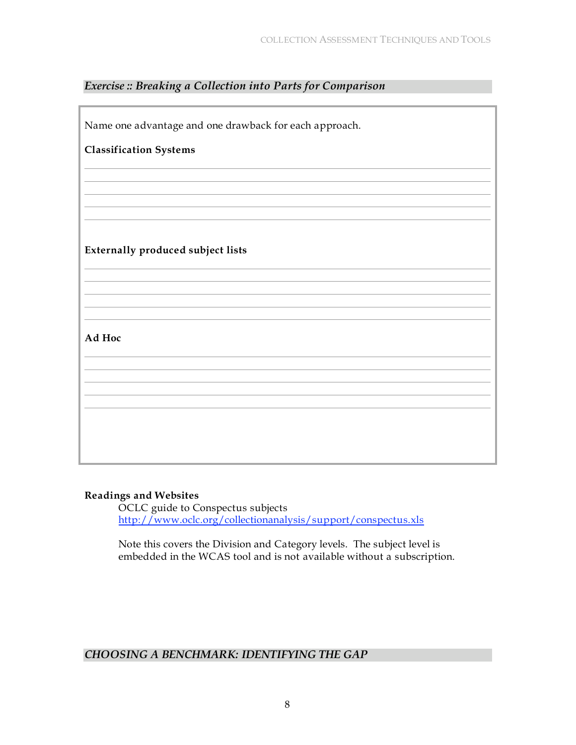# *Exercise :: Breaking a Collection into Parts for Comparison*

| Name one advantage and one drawback for each approach. |
|--------------------------------------------------------|
| <b>Classification Systems</b>                          |
|                                                        |
|                                                        |
|                                                        |
| Externally produced subject lists                      |
|                                                        |
|                                                        |
|                                                        |
| Ad Hoc                                                 |
|                                                        |
|                                                        |
|                                                        |
|                                                        |
|                                                        |

#### **Readings and Websites**

OCLC guide to Conspectus subjects http://www.oclc.org/collectionanalysis/support/conspectus.xls

Note this covers the Division and Category levels. The subject level is embedded in the WCAS tool and is not available without a subscription.

# *CHOOSING A BENCHMARK: IDENTIFYING THE GAP*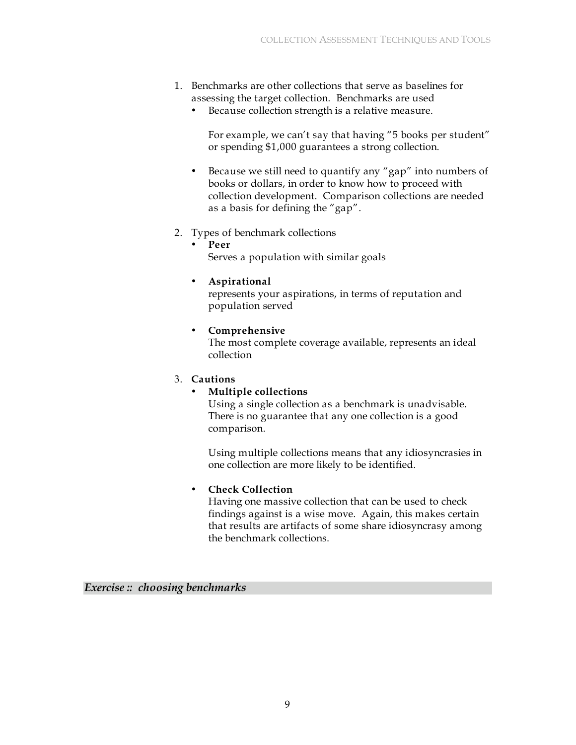- 1. Benchmarks are other collections that serve as baselines for assessing the target collection. Benchmarks are used
	- Because collection strength is a relative measure.

For example, we can't say that having "5 books per student" or spending \$1,000 guarantees a strong collection.

- Because we still need to quantify any "gap" into numbers of books or dollars, in order to know how to proceed with collection development. Comparison collections are needed as a basis for defining the "gap".
- 2. Types of benchmark collections
	- **Peer**
		- Serves a population with similar goals
	- **Aspirational**

represents your aspirations, in terms of reputation and population served

### • **Comprehensive**

The most complete coverage available, represents an ideal collection

#### 3. **Cautions**

# • **Multiple collections**

Using a single collection as a benchmark is unadvisable. There is no guarantee that any one collection is a good comparison.

Using multiple collections means that any idiosyncrasies in one collection are more likely to be identified.

# • **Check Collection**

Having one massive collection that can be used to check findings against is a wise move. Again, this makes certain that results are artifacts of some share idiosyncrasy among the benchmark collections.

*Exercise :: choosing benchmarks*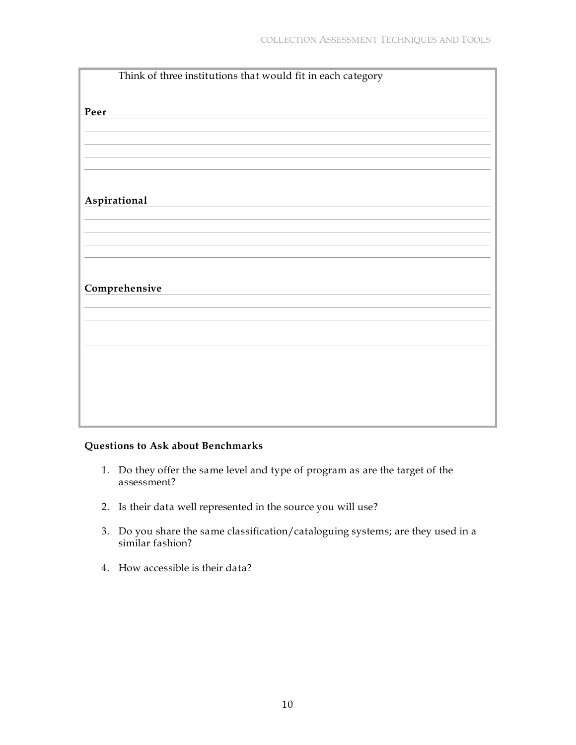| Think of three institutions that would fit in each category |
|-------------------------------------------------------------|
|                                                             |
| Peer                                                        |
|                                                             |
|                                                             |
|                                                             |
|                                                             |
|                                                             |
| Aspirational                                                |
|                                                             |
|                                                             |
|                                                             |
|                                                             |
| Comprehensive                                               |
|                                                             |
|                                                             |
|                                                             |
|                                                             |
|                                                             |
|                                                             |
|                                                             |
|                                                             |

# **Questions to Ask about Benchmarks**

- 1. Do they offer the same level and type of program as are the target of the assessment?
- 2. Is their data well represented in the source you will use?
- 3. Do you share the same classification/cataloguing systems; are they used in a similar fashion?
- 4. How accessible is their data?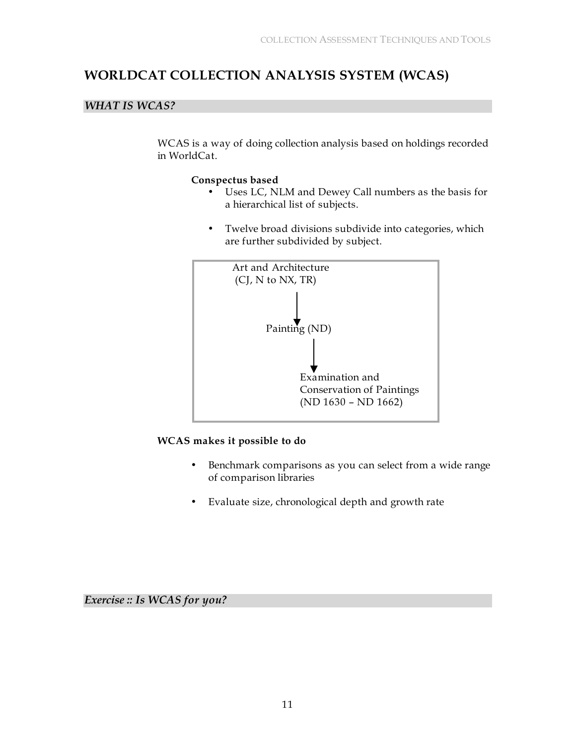# **WORLDCAT COLLECTION ANALYSIS SYSTEM (WCAS)**

# *WHAT IS WCAS?*

WCAS is a way of doing collection analysis based on holdings recorded in WorldCat.

#### **Conspectus based**

- Uses LC, NLM and Dewey Call numbers as the basis for a hierarchical list of subjects.
- Twelve broad divisions subdivide into categories, which are further subdivided by subject.



#### **WCAS makes it possible to do**

- Benchmark comparisons as you can select from a wide range of comparison libraries
- Evaluate size, chronological depth and growth rate

*Exercise :: Is WCAS for you?*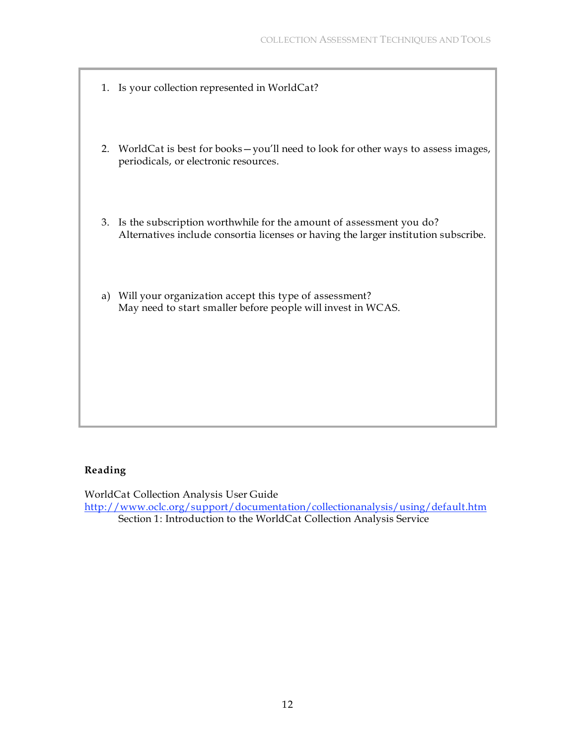- 1. Is your collection represented in WorldCat?
- 2. WorldCat is best for books—you'll need to look for other ways to assess images, periodicals, or electronic resources.
- 3. Is the subscription worthwhile for the amount of assessment you do? Alternatives include consortia licenses or having the larger institution subscribe.
- a) Will your organization accept this type of assessment? May need to start smaller before people will invest in WCAS.

#### **Reading**

WorldCat Collection Analysis User Guide

http://www.oclc.org/support/documentation/collectionanalysis/using/default.htm Section 1: Introduction to the WorldCat Collection Analysis Service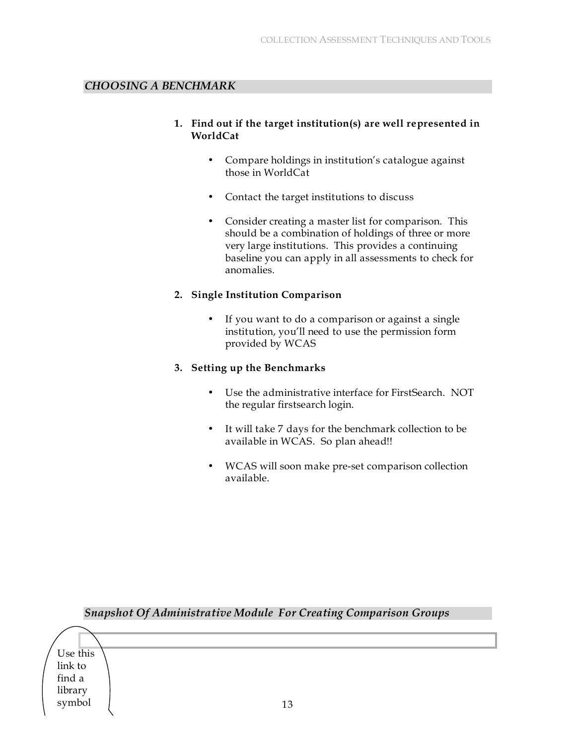### *CHOOSING A BENCHMARK*

- **1. Find out if the target institution(s) are well represented in WorldCat**
	- Compare holdings in institution's catalogue against those in WorldCat
	- Contact the target institutions to discuss
	- Consider creating a master list for comparison. This should be a combination of holdings of three or more very large institutions. This provides a continuing baseline you can apply in all assessments to check for anomalies.

#### **2. Single Institution Comparison**

• If you want to do a comparison or against a single institution, you'll need to use the permission form provided by WCAS

#### **3. Setting up the Benchmarks**

- Use the administrative interface for FirstSearch. NOT the regular firstsearch login.
- It will take 7 days for the benchmark collection to be available in WCAS. So plan ahead!!
- WCAS will soon make pre-set comparison collection available.

|          | <b>Snapshot Of Administrative Module For Creating Comparison Groups</b> |
|----------|-------------------------------------------------------------------------|
|          |                                                                         |
| Use this |                                                                         |
| link to  |                                                                         |
| find a   |                                                                         |
| library  |                                                                         |
| symbol   | 13                                                                      |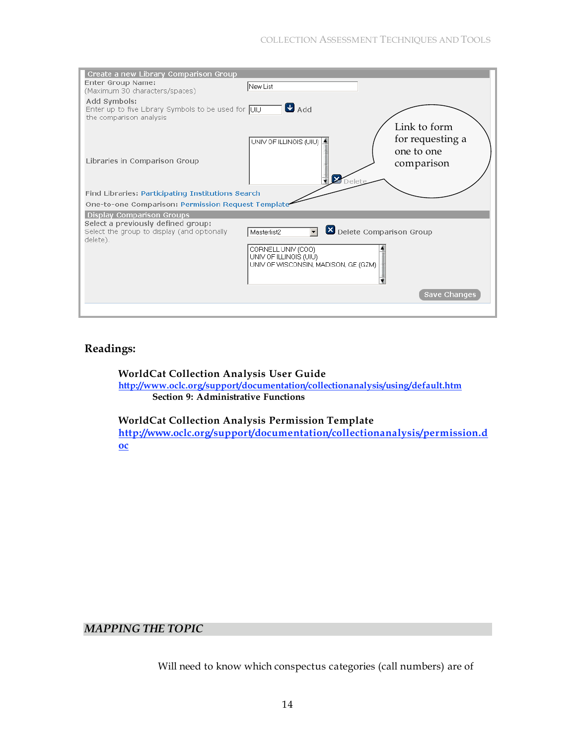| Create a new Library Comparison Group                                          |                                                                |
|--------------------------------------------------------------------------------|----------------------------------------------------------------|
| Enter Group Name:<br>(Maximum 30 characters/spaces)                            | New List                                                       |
| Add Symbols:                                                                   |                                                                |
| Enter up to five Library Symbols to be used for UIU<br>the comparison analysis | $\blacksquare$ Add                                             |
|                                                                                | Link to form                                                   |
|                                                                                | for requesting a<br>UNIV OF ILLINOIS (UIU) 4<br>one to one     |
| Libraries in Comparison Group                                                  | comparison<br>Ιx                                               |
| Find Libraries: Participating Institutions Search                              |                                                                |
|                                                                                |                                                                |
| One-to-one Comparison: Permission Request Template                             |                                                                |
| <b>Display Comparison Groups</b><br>Select a previously defined group:         |                                                                |
| Select the group to display (and optionally<br>delete).                        | Delete Comparison Group<br>Masterlist2                         |
|                                                                                | CORNELL UNIV (COO)                                             |
|                                                                                | UNIV OF ILLINOIS (UIU)<br>UNIV OF WISCONSIN, MADISON, GE (GZM) |
|                                                                                |                                                                |
|                                                                                | Save Changes                                                   |
|                                                                                |                                                                |

# **Readings:**

**WorldCat Collection Analysis User Guide http://www.oclc.org/support/documentation/collectionanalysis/using/default.htm Section 9: Administrative Functions**

**WorldCat Collection Analysis Permission Template http://www.oclc.org/support/documentation/collectionanalysis/permission.d oc**

# *MAPPING THE TOPIC*

Will need to know which conspectus categories (call numbers) are of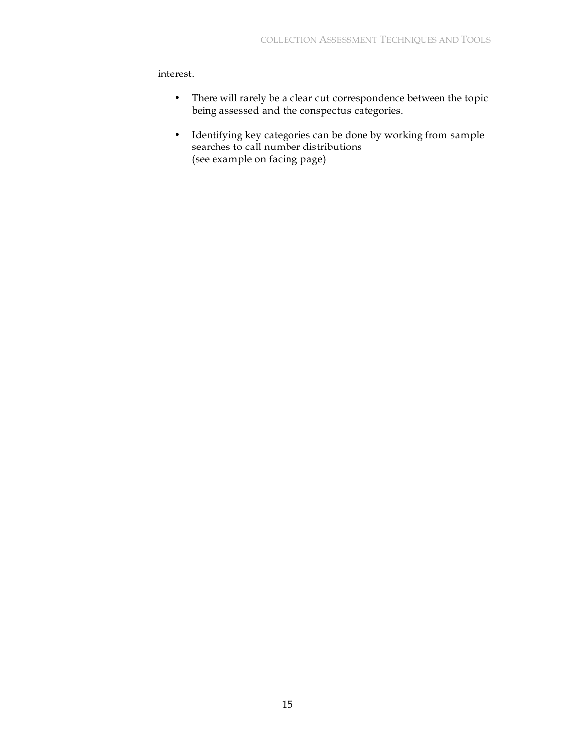interest.

- There will rarely be a clear cut correspondence between the topic being assessed and the conspectus categories.
- Identifying key categories can be done by working from sample searches to call number distributions (see example on facing page)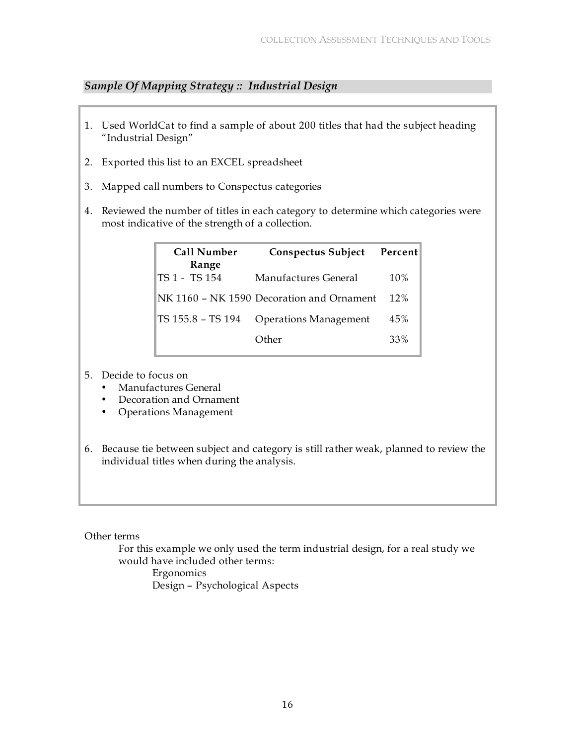# *Sample Of Mapping Strategy :: Industrial Design*

- 1. Used WorldCat to find a sample of about 200 titles that had the subject heading "Industrial Design"
- 2. Exported this list to an EXCEL spreadsheet
- 3. Mapped call numbers to Conspectus categories
- 4. Reviewed the number of titles in each category to determine which categories were most indicative of the strength of a collection.

| <b>Call Number</b><br>Range | Conspectus Subject                        | Percent |
|-----------------------------|-------------------------------------------|---------|
| TS 1 - TS 154               | Manufactures General                      | 10%     |
|                             | NK 1160 - NK 1590 Decoration and Ornament | 12%     |
| TS 155.8 - TS 194           | <b>Operations Management</b>              | 45%     |
|                             | Other                                     | 33%     |

- 5. Decide to focus on
	- Manufactures General
	- Decoration and Ornament
	- Operations Management
- 6. Because tie between subject and category is still rather weak, planned to review the individual titles when during the analysis.

#### Other terms

For this example we only used the term industrial design, for a real study we would have included other terms:

Ergonomics Design – Psychological Aspects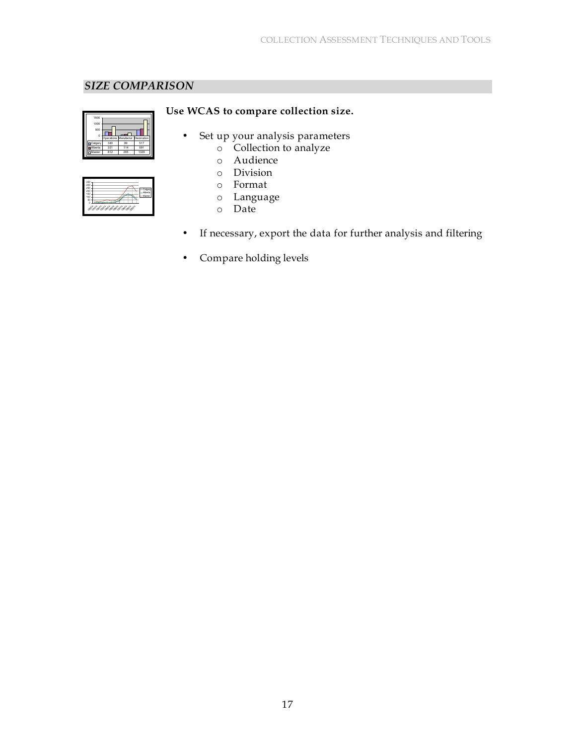# *SIZE COMPARISON*

| 1500<br>1000<br>500<br>o |     |                                  |      |
|--------------------------|-----|----------------------------------|------|
|                          |     | Operations Manufactur Decoration |      |
| <b>D</b> Calgar          | 340 | 99                               | 517  |
| Alberta                  | 321 | 114                              | 591  |
| <b>D</b> Master          | 812 | 265                              | 1329 |

| 250<br>t<br>200<br>f,<br>150<br>ś<br>100<br>50<br>ò<br>993<br>483<br>$\circledcirc^\circ$<br>$e^{\phi^2}$ |
|-----------------------------------------------------------------------------------------------------------|
|-----------------------------------------------------------------------------------------------------------|

# **Use WCAS to compare collection size.**

- Set up your analysis parameters
	- o Collection to analyze
	- o Audience
	- o Division
	- o Format
	- o Language
	- o Date
- If necessary, export the data for further analysis and filtering
- Compare holding levels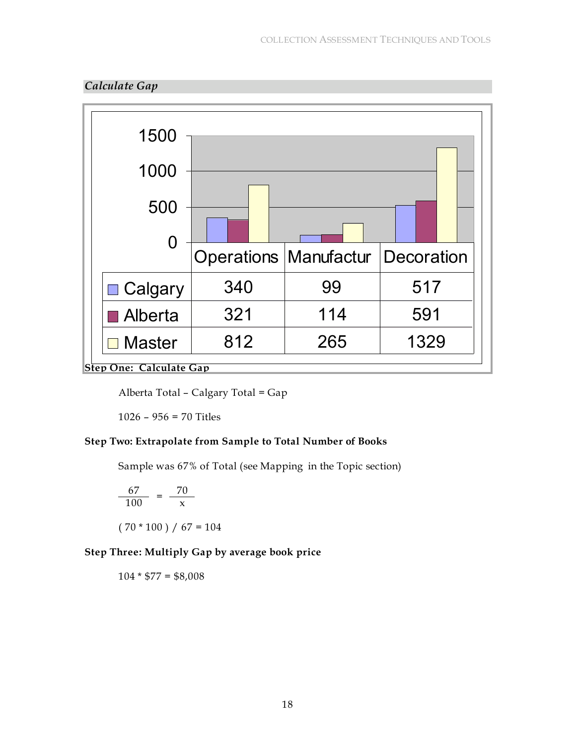



Alberta Total – Calgary Total = Gap

1026 – 956 = 70 Titles

# **Step Two: Extrapolate from Sample to Total Number of Books**

Sample was 67% of Total (see Mapping in the Topic section)

$$
\frac{67}{100} = \frac{70}{x}
$$
  
(70 \* 100) / 67 = 104

# **Step Three: Multiply Gap by average book price**

 $104 * $77 = $8,008$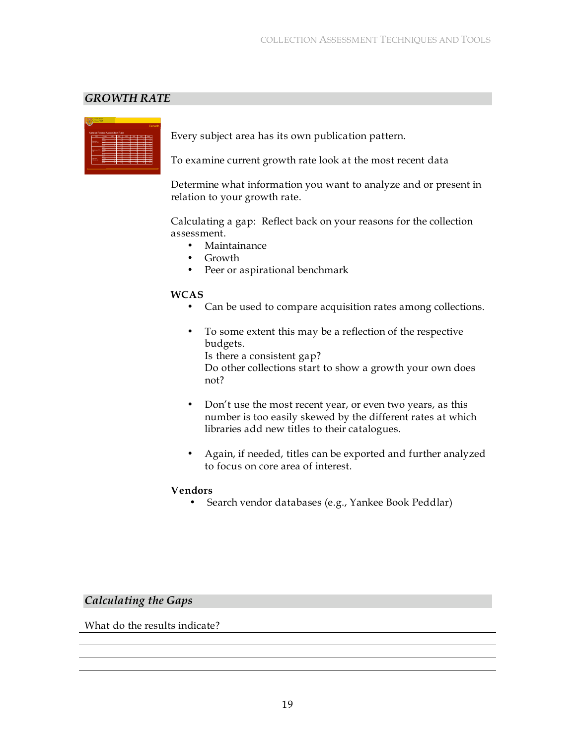### *GROWTH RATE*

|                                | CALCARY             |    |        |        |        |                          | Growth                                    |
|--------------------------------|---------------------|----|--------|--------|--------|--------------------------|-------------------------------------------|
|                                |                     |    |        |        |        |                          |                                           |
| Assess Recent Acquisition Rate |                     |    |        |        |        |                          |                                           |
| $\overline{\phantom{a}}$       |                     |    |        |        | -      |                          |                                           |
|                                | <b>Service</b><br>- | Ξ  |        | ╾      | ٠.     | ÷                        | <b>August</b><br>$\overline{\phantom{a}}$ |
|                                | وسيد                | í. | ۰      | ۰      | ۰      | ٠                        | w                                         |
| <b>Dental</b><br>---           |                     | ٠  | ۰      | ۰      | ÷      | ъ                        | $\overline{u}$                            |
|                                | <b>STAR</b>         | ٠  | ٠      | ٠      | ٠      | $\overline{\phantom{a}}$ | m                                         |
|                                |                     | π  |        |        | ۰      |                          |                                           |
|                                | ≂                   |    |        |        | ۰      |                          | ч                                         |
| ۰                              | <b>General</b>      | ٠  | ٠      |        | Ŧ      | ı<br>Ŧ                   | .,<br>ū                                   |
|                                | <b>State</b><br>_   | π  | ы<br>π | ы<br>π |        |                          | ۰                                         |
|                                | =                   | Ξ  | Ξ      | Ξ      | π      | τ                        |                                           |
|                                | <b>General</b>      | ۰  | ٠      | ٠      | π<br>٠ | π<br>ū                   | <b>Tax</b><br>$\overline{u}$              |
| ---<br><b>TERRA NU</b>         |                     | ÷  | π      |        |        |                          |                                           |
|                                | ≂                   |    | -      |        | π      | π<br>۰                   | æ                                         |
|                                |                     |    |        |        | ы      |                          | $\overline{\mathbf{v}}$                   |

Every subject area has its own publication pattern.

To examine current growth rate look at the most recent data

Determine what information you want to analyze and or present in relation to your growth rate.

Calculating a gap: Reflect back on your reasons for the collection assessment.

- Maintainance
- Growth
- Peer or aspirational benchmark

#### **WCAS**

- Can be used to compare acquisition rates among collections.
- To some extent this may be a reflection of the respective budgets.

Is there a consistent gap?

Do other collections start to show a growth your own does not?

- Don't use the most recent year, or even two years, as this number is too easily skewed by the different rates at which libraries add new titles to their catalogues.
- Again, if needed, titles can be exported and further analyzed to focus on core area of interest.

#### **Vendors**

• Search vendor databases (e.g., Yankee Book Peddlar)

#### *Calculating the Gaps*

What do the results indicate?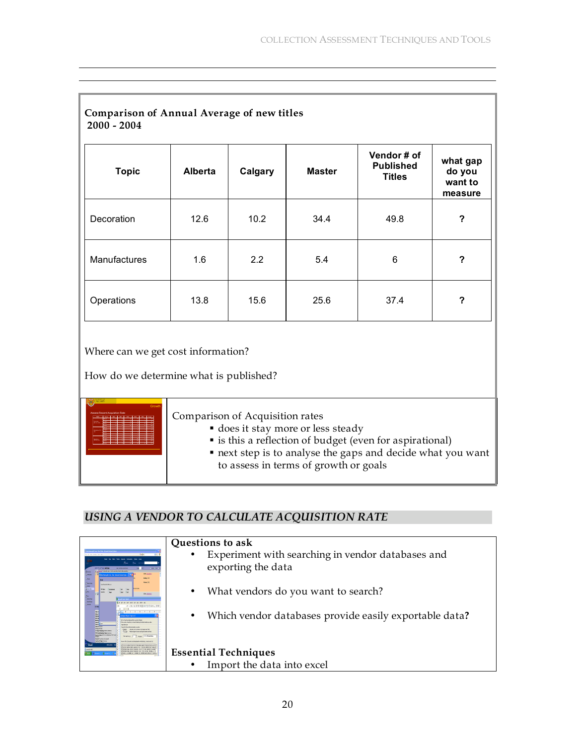| <b>Comparison of Annual Average of new titles</b><br>$2000 - 2004$ |                |                  |               |                                                 |                                          |  |  |
|--------------------------------------------------------------------|----------------|------------------|---------------|-------------------------------------------------|------------------------------------------|--|--|
| <b>Topic</b>                                                       | <b>Alberta</b> | Calgary          | <b>Master</b> | Vendor# of<br><b>Published</b><br><b>Titles</b> | what gap<br>do you<br>want to<br>measure |  |  |
| Decoration                                                         | 12.6           | 10.2             | 34.4          | 49.8                                            | ?                                        |  |  |
| Manufactures                                                       | 1.6            | $2.2\phantom{0}$ | 5.4           | 6                                               | ?                                        |  |  |
| Operations                                                         | 13.8           | 15.6             | 25.6          | 37.4                                            | $\boldsymbol{?}$                         |  |  |

Where can we get cost information?

How do we determine what is published?

| Growth | Comparison of Acquisition rates<br>does it stay more or less steady<br>• is this a reflection of budget (even for aspirational)<br>next step is to analyse the gaps and decide what you want<br>to assess in terms of growth or goals |
|--------|---------------------------------------------------------------------------------------------------------------------------------------------------------------------------------------------------------------------------------------|
|--------|---------------------------------------------------------------------------------------------------------------------------------------------------------------------------------------------------------------------------------------|

# *USING A VENDOR TO CALCULATE ACQUISITION RATE*

|                                                                                                                                                                                                       | Questions to ask                                                    |
|-------------------------------------------------------------------------------------------------------------------------------------------------------------------------------------------------------|---------------------------------------------------------------------|
|                                                                                                                                                                                                       | Experiment with searching in vendor databases and<br>$\bullet$      |
| <b>Concilent</b><br><b>AAT LAND AT ASSAULT</b><br>and found through the data delay structure that he the course<br><b>NATOOD</b>                                                                      | exporting the data                                                  |
| The 161m Sec Emit her fol-<br><b>Chaus</b><br>1004157<br>Distance.<br><b>See Kending Marine</b>                                                                                                       |                                                                     |
| igan.<br>St<br>10125232<br>凱                                                                                                                                                                          | What vendors do you want to search?<br>٠                            |
| <b>Check</b><br><b>The Chair</b><br><b>ALC: YES</b>                                                                                                                                                   |                                                                     |
| $0 \quad 1 \quad 2 \quad 3 \quad 4 \quad 5$<br><b>BEERIN</b><br><b>Vehicle Stude Social 2</b><br>of her three first internet first was the children's<br>Low) having a hardwidth a brind balls as its | Which vendor databases provide easily exportable data?<br>$\bullet$ |
| and the figures further building and dat-<br><b>General</b><br>www. Historical deputation blomathid                                                                                                   |                                                                     |
| <b>ANNAHOLIST IS NAMED FOR</b><br>hteptops E C Reph C Dombar<br>mah Tranisina latu Kodu<br>signification and provided to the first contract to<br>TAP ENDIVERSITY ORDER DEPTH AND RAT                 |                                                                     |
|                                                                                                                                                                                                       | <b>Essential Techniques</b>                                         |
|                                                                                                                                                                                                       | Import the data into excel                                          |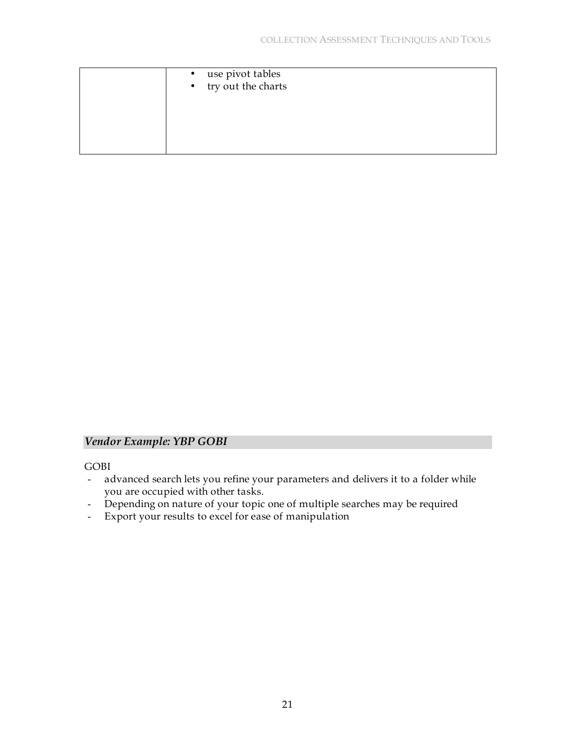| • use pivot tables<br>• try out the charts |
|--------------------------------------------|
|                                            |
|                                            |

# *Vendor Example: YBP GOBI*

GOBI

- advanced search lets you refine your parameters and delivers it to a folder while you are occupied with other tasks.
- Depending on nature of your topic one of multiple searches may be required
- Export your results to excel for ease of manipulation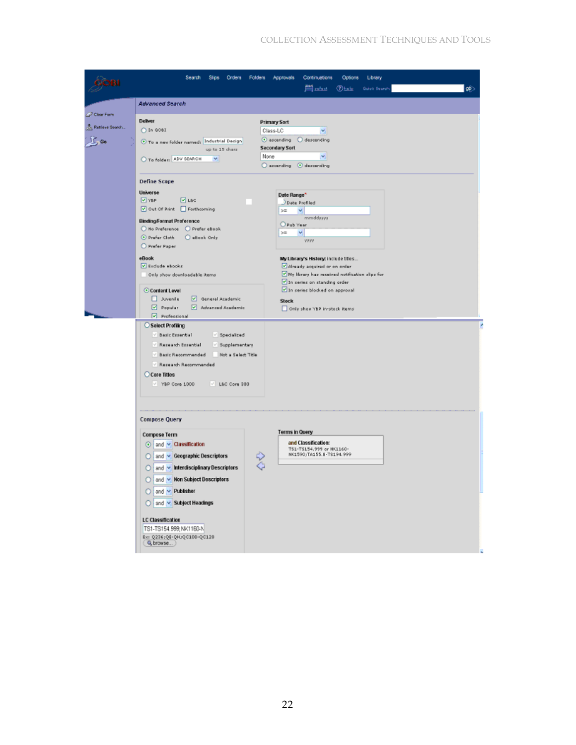# COLLECTION ASSESSMENT TECHNIQUES AND TOOLS

| Search<br><b>Slips</b><br>Orders<br>Folders                                                                                                                                                                                                                                                                | Continuations<br>Approvals<br>Options<br>Library<br>≝⊯⊞<br>Obale<br><b>Quick Search:</b><br> တ်                                                                                                                                        |
|------------------------------------------------------------------------------------------------------------------------------------------------------------------------------------------------------------------------------------------------------------------------------------------------------------|----------------------------------------------------------------------------------------------------------------------------------------------------------------------------------------------------------------------------------------|
| Advanced Search                                                                                                                                                                                                                                                                                            |                                                                                                                                                                                                                                        |
| <b>Deliver</b><br>O In GOBI<br>To a new folder named: Industrial Design<br>up to 15 charz<br>To folder: ADV SEARCH<br>×                                                                                                                                                                                    | <b>Primary Sort</b><br>Class-LC<br>v.<br>$\odot$ ascending $\odot$ descending<br><b>Secondary Sort</b><br>v.<br>accending @ descending                                                                                                 |
| <b>Define Scope</b><br>Universe<br>$\boxed{9}$ YBP<br>$\boxed{2}$ LSC<br>Out Of Print Forthcoming<br><b>Binding Format Preference</b><br>O No Preference O Prefer eBook<br>D Prefer Cloth<br>C aBook Only<br>Prefer Paper                                                                                  | Date Range*<br>Date Profiled<br>$> =$<br>v.<br>mmddysyy<br>Pub Year<br>> 1<br>M.<br><b>VERV</b>                                                                                                                                        |
| <b>eBook</b><br>V Exclude eBooks<br>Only show downloadable items<br>Content Level<br>D Juvenile<br>General Academic<br>Advanced Academic<br><b>D</b> Popular                                                                                                                                               | My Library's History: include titles<br>Already acquired or on order<br>My library has received notification slips for<br>In zeries on standing order<br>In series blocked on approval<br><b>Stock</b><br>Only show YBP in-stock items |
| Select Profiling<br>Basic Essential<br>$\vee$ Specialized<br>Research Essential<br>Supplementary<br>Basic Recommended<br>Not a Select Title<br>/ Research Recommended<br>Core Titles<br>V YBP Core 1000<br>V L&C Core 300                                                                                  |                                                                                                                                                                                                                                        |
| <b>Compose Query</b><br><b>Compose Term</b><br>$\odot$ and $\sim$ Classification<br>and v Geographic Descriptors<br>2<br>and v Interdisciplinary Descriptors<br>and v Non Subject Descriptors<br>and v Publisher<br>n<br>and v Subject Headings<br>о<br><b>LC Classification</b><br>TS1-TS154.999;NK1160-N | <b>Terms in Query</b><br>and Classification:<br>TS1-TS154.999 or NK1160-<br>NK1590/TA155.8-TS194.999                                                                                                                                   |
|                                                                                                                                                                                                                                                                                                            | None<br>Professional                                                                                                                                                                                                                   |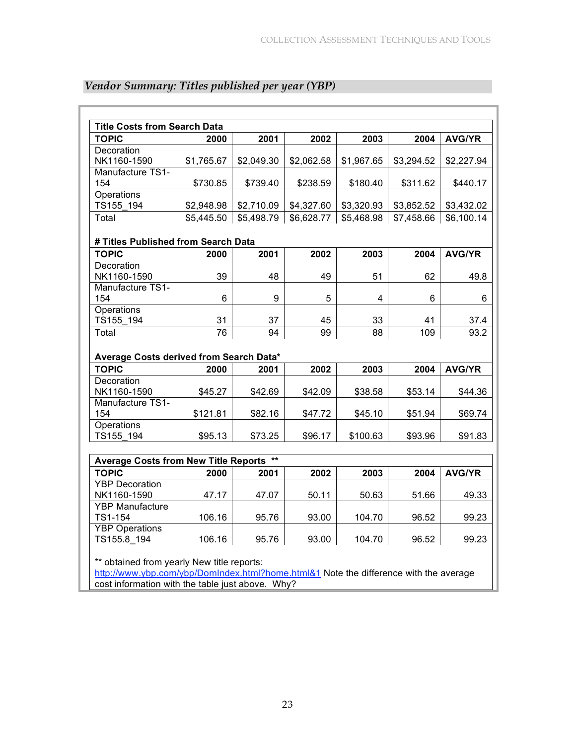| <b>Title Costs from Search Data</b>     |            |            |                                                    |            |            |               |
|-----------------------------------------|------------|------------|----------------------------------------------------|------------|------------|---------------|
| <b>TOPIC</b>                            | 2000       | 2001       | 2002                                               | 2003       | 2004       | <b>AVG/YR</b> |
| Decoration                              |            |            |                                                    |            |            |               |
| NK1160-1590                             | \$1,765.67 | \$2,049.30 | \$2,062.58                                         | \$1,967.65 | \$3,294.52 | \$2,227.94    |
| Manufacture TS1-                        |            |            |                                                    |            |            |               |
| 154                                     | \$730.85   | \$739.40   | \$238.59                                           | \$180.40   | \$311.62   | \$440.17      |
| Operations                              |            |            |                                                    |            |            |               |
| TS155 194                               | \$2,948.98 | \$2,710.09 | \$4,327.60                                         | \$3,320.93 | \$3,852.52 | \$3,432.02    |
| Total                                   | \$5,445.50 |            | $$5,498.79$   \$6,628.77   \$5,468.98   \$7,458.66 |            |            | \$6,100.14    |
| # Titles Published from Search Data     |            |            |                                                    |            |            |               |
| <b>TOPIC</b>                            | 2000       | 2001       | 2002                                               | 2003       | 2004       | <b>AVG/YR</b> |
| Decoration                              |            |            |                                                    |            |            |               |
| NK1160-1590                             | 39         | 48         | 49                                                 | 51         | 62         | 49.8          |
| Manufacture TS1-                        |            |            |                                                    |            |            |               |
| 154                                     | 6          | 9          | 5                                                  | 4          | 6          | 6             |
| Operations                              |            |            |                                                    |            |            |               |
| TS155 194                               | 31         | 37         | 45                                                 | 33         | 41         | 37.4          |
| Total                                   | 76         | 94         | 99                                                 | 88         | 109        | 93.2          |
| Average Costs derived from Search Data* |            |            |                                                    |            |            |               |
| <b>TOPIC</b>                            | 2000       | 2001       | 2002                                               | 2003       | 2004       | <b>AVG/YR</b> |
| Decoration                              |            |            |                                                    |            |            |               |
| NK1160-1590                             | \$45.27    | \$42.69    | \$42.09                                            | \$38.58    | \$53.14    | \$44.36       |
| Manufacture TS1-                        |            |            |                                                    |            |            |               |
| 154                                     | \$121.81   | \$82.16    | \$47.72                                            | \$45.10    | \$51.94    | \$69.74       |
| Operations                              |            |            |                                                    |            |            |               |
| TS155 194                               | \$95.13    | \$73.25    | \$96.17                                            | \$100.63   | \$93.96    | \$91.83       |
|                                         |            |            |                                                    |            |            |               |
| Average Costs from New Title Reports ** |            |            |                                                    |            |            |               |
| <b>TOPIC</b>                            | 2000       | 2001       | 2002                                               | 2003       | 2004       | <b>AVG/YR</b> |
| <b>YBP</b> Decoration                   |            |            |                                                    |            |            |               |
| NK1160-1590                             | 47.17      | 47.07      | 50.11                                              | 50.63      | 51.66      | 49.33         |
| <b>YBP Manufacture</b>                  |            |            |                                                    |            |            |               |
| TS1-154                                 | 106.16     | 95.76      | 93.00                                              | 104.70     | 96.52      | 99.23         |
| <b>YBP Operations</b><br>TS155.8 194    | 106.16     | 95.76      | 93.00                                              | 104.70     | 96.52      | 99.23         |
|                                         |            |            |                                                    |            |            |               |

# *Vendor Summary: Titles published per year (YBP)*

\*\* obtained from yearly New title reports:

http://www.ybp.com/ybp/DomIndex.html?home.html&1 Note the difference with the average cost information with the table just above. Why?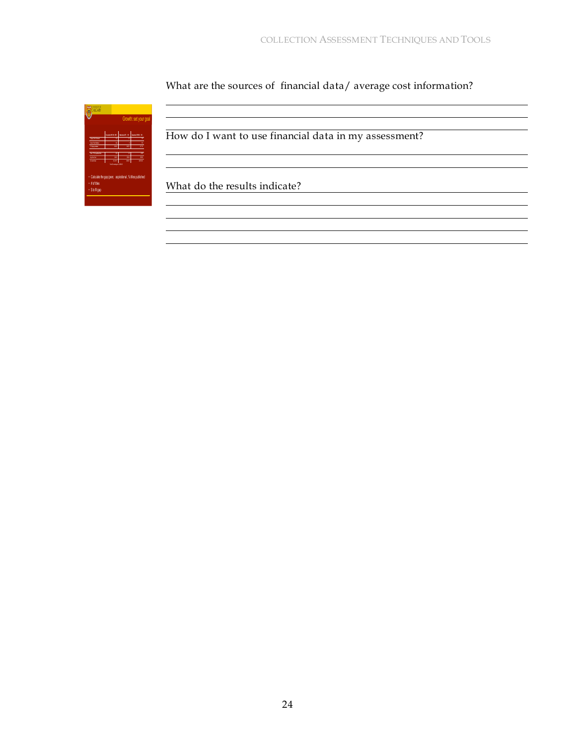<u> 1980 - Johann Barn, mars ann an t-Amhain Aonaich an t-Aonaich an t-Aonaich ann an t-Aonaich ann an t-Aonaich</u>

What are the sources of financial data/ average cost information?

<u> 1980 - Johann Barbara, martxa alemaniar amerikan amerikan di sebagai personal di sebagai personal di sebagai</u>

|                                                                                           |                             |                  | Growth: set your goal |
|-------------------------------------------------------------------------------------------|-----------------------------|------------------|-----------------------|
|                                                                                           | Donda 9019                  | <b>Bookse 70</b> |                       |
| Copy Testings                                                                             |                             |                  |                       |
|                                                                                           |                             |                  |                       |
|                                                                                           |                             |                  |                       |
|                                                                                           |                             |                  |                       |
| Col-Tidatecte                                                                             | 図                           | d,               | ×.                    |
| Ag Stock                                                                                  | si:                         | $\overline{1}$   | 92                    |
| teantico                                                                                  | 2227<br>Tout temperate SCOD | 90               | <b>CT4</b>            |
|                                                                                           |                             |                  |                       |
| Calculate the gap (peer, aspirational, % titles published<br>· #offiles<br>· S to fil gap |                             |                  |                       |

How do I want to use financial data in my assessment?

What do the results indicate?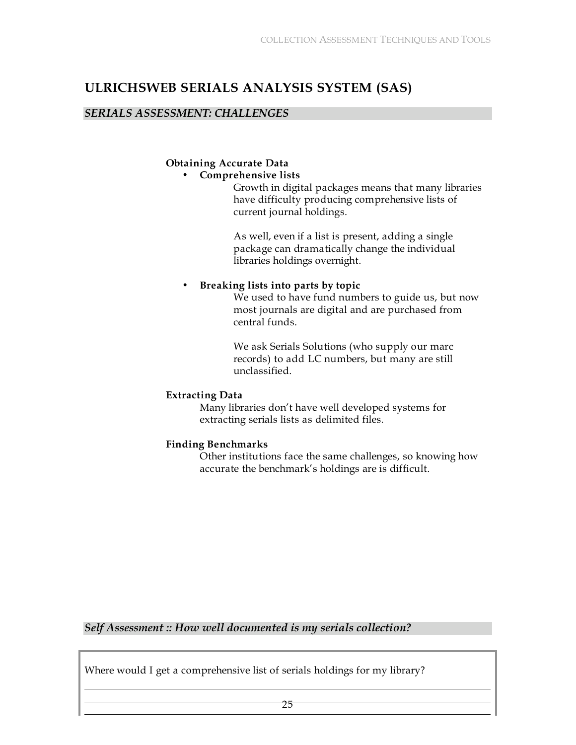# **ULRICHSWEB SERIALS ANALYSIS SYSTEM (SAS)**

### *SERIALS ASSESSMENT: CHALLENGES*

# **Obtaining Accurate Data**

# • **Comprehensive lists**

Growth in digital packages means that many libraries have difficulty producing comprehensive lists of current journal holdings.

As well, even if a list is present, adding a single package can dramatically change the individual libraries holdings overnight.

# • **Breaking lists into parts by topic**

We used to have fund numbers to guide us, but now most journals are digital and are purchased from central funds.

We ask Serials Solutions (who supply our marc records) to add LC numbers, but many are still unclassified.

# **Extracting Data**

Many libraries don't have well developed systems for extracting serials lists as delimited files.

# **Finding Benchmarks**

Other institutions face the same challenges, so knowing how accurate the benchmark's holdings are is difficult.

# *Self Assessment :: How well documented is my serials collection?*

Where would I get a comprehensive list of serials holdings for my library?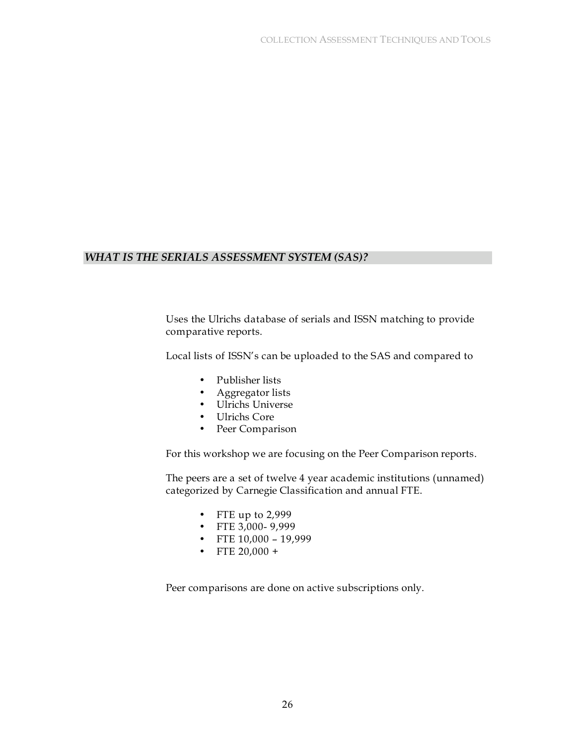### *WHAT IS THE SERIALS ASSESSMENT SYSTEM (SAS)?*

Uses the Ulrichs database of serials and ISSN matching to provide comparative reports.

Local lists of ISSN's can be uploaded to the SAS and compared to

- Publisher lists
- Aggregator lists
- Ulrichs Universe
- Ulrichs Core
- Peer Comparison

For this workshop we are focusing on the Peer Comparison reports.

The peers are a set of twelve 4 year academic institutions (unnamed) categorized by Carnegie Classification and annual FTE.

- FTE up to 2,999
- FTE 3,000- 9,999
- FTE  $10,000 19,999$
- FTE  $20,000 +$

Peer comparisons are done on active subscriptions only.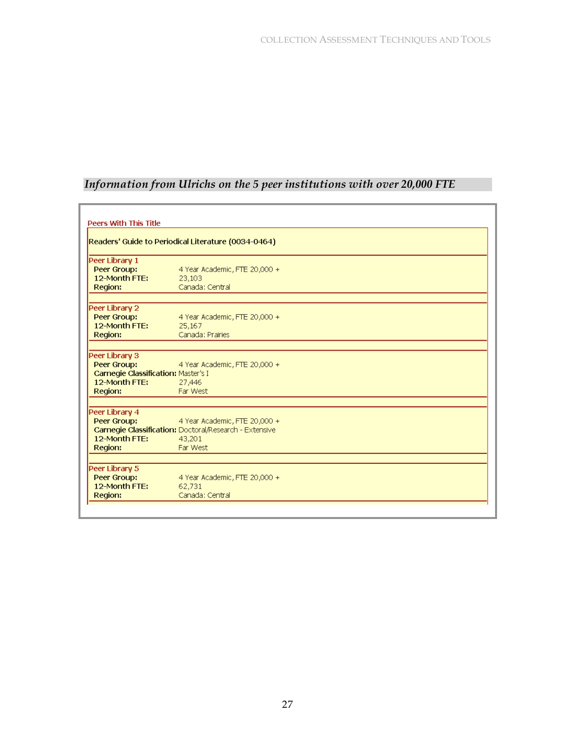# *Information from Ulrichs on the 5 peer institutions with over 20,000 FTE*

| <b>Peers With This Title</b>                                                                     |                                                                                                                      |  |  |  |  |
|--------------------------------------------------------------------------------------------------|----------------------------------------------------------------------------------------------------------------------|--|--|--|--|
| Readers' Guide to Periodical Literature (0034-0464)                                              |                                                                                                                      |  |  |  |  |
| Peer Library 1<br>Peer Group:<br>12-Month FTE:                                                   | 4 Year Academic, FTE 20,000 +<br>23,103                                                                              |  |  |  |  |
| Region:                                                                                          | Canada: Central                                                                                                      |  |  |  |  |
| Peer Library 2<br>Peer Group:<br>12-Month FTE:<br>Region:                                        | 4 Year Academic, FTE 20,000 +<br>25,167<br>Canada: Prairies                                                          |  |  |  |  |
| Peer Library 3<br>Peer Group:<br>Carnegie Classification: Master's I<br>12-Month FTE:<br>Region: | 4 Year Academic, FTE 20,000 +<br>27,446<br>Far West                                                                  |  |  |  |  |
| Peer Library 4<br>Peer Group:<br>12-Month FTF:<br>Region:                                        | 4 Year Academic, FTE 20,000 +<br><b>Carnegie Classification: Doctoral/Research - Extensive</b><br>43,201<br>Far West |  |  |  |  |
| Peer Library 5<br>Peer Group:<br>12-Month FTE:<br>Region:                                        | 4 Year Academic, FTE 20,000 +<br>62,731<br>Canada: Central                                                           |  |  |  |  |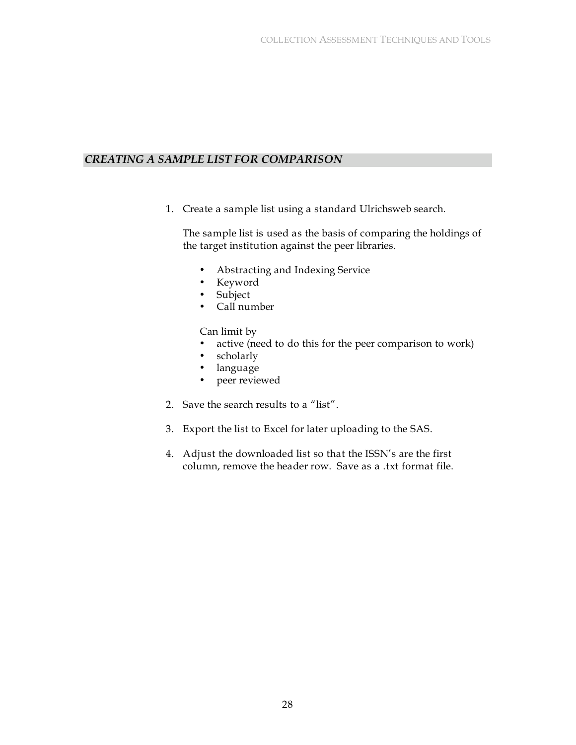# *CREATING A SAMPLE LIST FOR COMPARISON*

1. Create a sample list using a standard Ulrichsweb search.

The sample list is used as the basis of comparing the holdings of the target institution against the peer libraries.

- Abstracting and Indexing Service
- Keyword
- Subject
- Call number

Can limit by

- active (need to do this for the peer comparison to work)
- scholarly<br>• language
- language
- peer reviewed
- 2. Save the search results to a "list".
- 3. Export the list to Excel for later uploading to the SAS.
- 4. Adjust the downloaded list so that the ISSN's are the first column, remove the header row. Save as a .txt format file.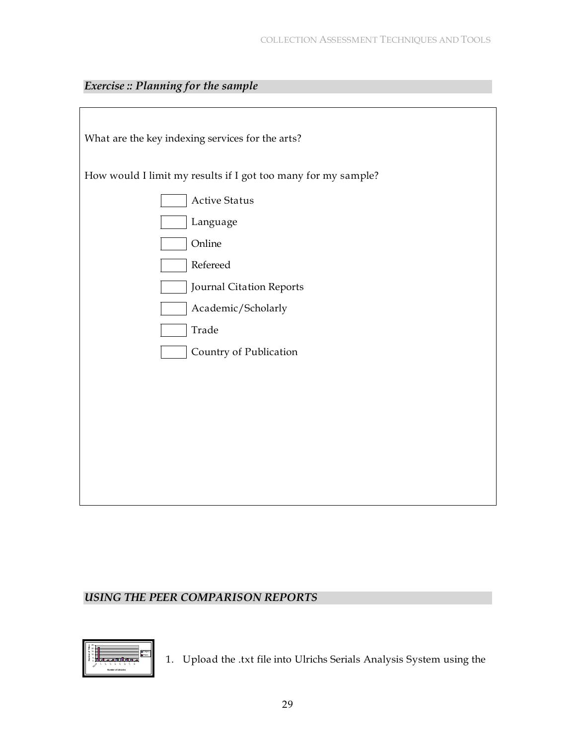| <b>Exercise</b> : Planning for the sample |
|-------------------------------------------|
|-------------------------------------------|

| What are the key indexing services for the arts?              |
|---------------------------------------------------------------|
| How would I limit my results if I got too many for my sample? |
| <b>Active Status</b>                                          |
| Language                                                      |
| Online                                                        |
| Refereed                                                      |
| Journal Citation Reports                                      |
| Academic/Scholarly                                            |
| Trade                                                         |
| Country of Publication                                        |
|                                                               |
|                                                               |
|                                                               |
|                                                               |
|                                                               |
|                                                               |
|                                                               |

# *USING THE PEER COMPARISON REPORTS*



1. Upload the .txt file into Ulrichs Serials Analysis System using the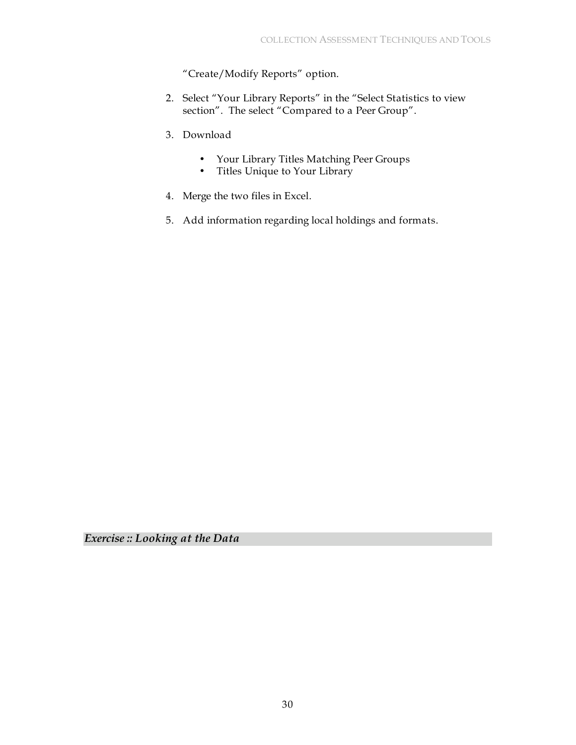"Create/Modify Reports" option.

- 2. Select "Your Library Reports" in the "Select Statistics to view section". The select "Compared to a Peer Group".
- 3. Download
	- Your Library Titles Matching Peer Groups
	- Titles Unique to Your Library
- 4. Merge the two files in Excel.
- 5. Add information regarding local holdings and formats.

*Exercise :: Looking at the Data*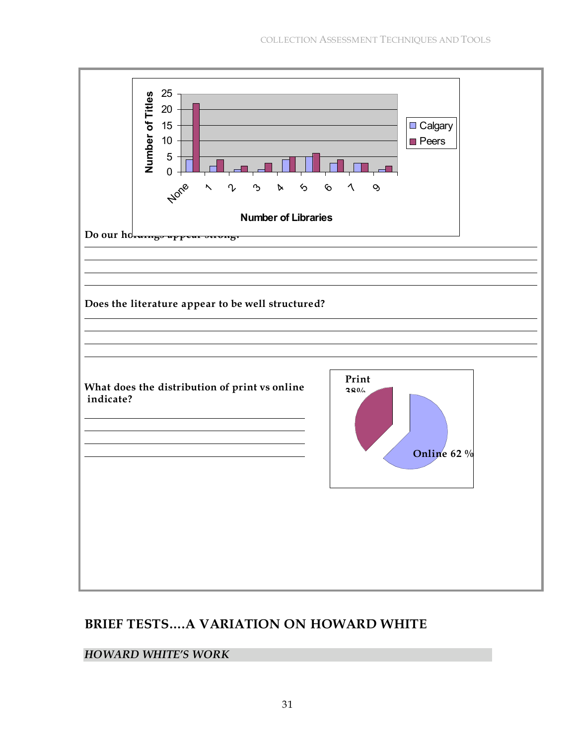

# **BRIEF TESTS….A VARIATION ON HOWARD WHITE**

# *HOWARD WHITE'S WORK*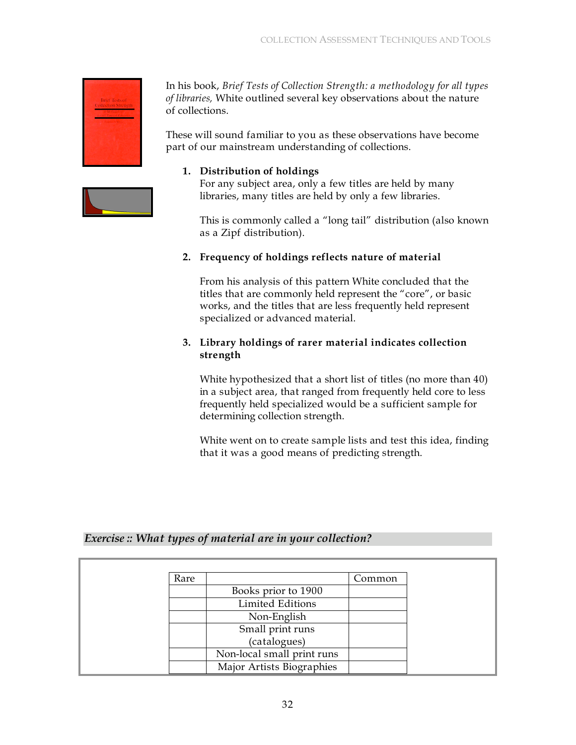

In his book, *Brief Tests of Collection Strength: a methodology for all types of libraries,* White outlined several key observations about the nature of collections.

These will sound familiar to you as these observations have become part of our mainstream understanding of collections.

# **1. Distribution of holdings**

For any subject area, only a few titles are held by many libraries, many titles are held by only a few libraries.

This is commonly called a "long tail" distribution (also known as a Zipf distribution).

# **2. Frequency of holdings reflects nature of material**

From his analysis of this pattern White concluded that the titles that are commonly held represent the "core", or basic works, and the titles that are less frequently held represent specialized or advanced material.

### **3. Library holdings of rarer material indicates collection strength**

White hypothesized that a short list of titles (no more than 40) in a subject area, that ranged from frequently held core to less frequently held specialized would be a sufficient sample for determining collection strength.

White went on to create sample lists and test this idea, finding that it was a good means of predicting strength.

# *Exercise :: What types of material are in your collection?*

| Rare |                            | Common |
|------|----------------------------|--------|
|      | Books prior to 1900        |        |
|      | <b>Limited Editions</b>    |        |
|      | Non-English                |        |
|      | Small print runs           |        |
|      | (catalogues)               |        |
|      | Non-local small print runs |        |
|      | Major Artists Biographies  |        |

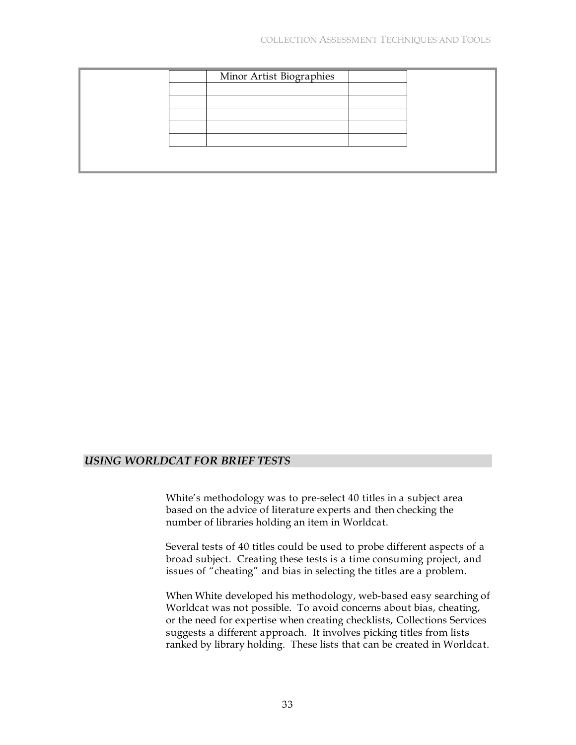|  | Minor Artist Biographies |  |
|--|--------------------------|--|
|  |                          |  |
|  |                          |  |
|  |                          |  |
|  |                          |  |
|  |                          |  |
|  |                          |  |
|  |                          |  |

#### *USING WORLDCAT FOR BRIEF TESTS*

| Select a Number of Libraries to Limit Your I |              |  |
|----------------------------------------------|--------------|--|
| Search Clear                                 |              |  |
| $\Box$ 900-999                               | $\mathbf{I}$ |  |
| $1200-899$ 2                                 |              |  |
| $700-799$ 2                                  |              |  |
| $\Box$ 600-699 2                             |              |  |
| $\Box$ 500-599 2                             |              |  |
| $\Box$ 400-499 2                             |              |  |
| $-300-39977$                                 |              |  |
| $-200-299$ 18                                |              |  |
| $\Box$ 150-199 12                            |              |  |
| $100-149$ 22                                 |              |  |
| $75-99$ 8                                    |              |  |
| $\Box$ 50-74 26                              |              |  |
| $\Box$ 25-49 36                              |              |  |
| $10-24$ 71                                   |              |  |
| $-5.9$ 65                                    |              |  |
| $-24$ 166                                    |              |  |
| . .                                          | 307          |  |
|                                              |              |  |

White's methodology was to pre-select 40 titles in a subject area based on the advice of literature experts and then checking the number of libraries holding an item in Worldcat.

Several tests of 40 titles could be used to probe different aspects of a broad subject. Creating these tests is a time consuming project, and issues of "cheating" and bias in selecting the titles are a problem.

When White developed his methodology, web-based easy searching of Worldcat was not possible. To avoid concerns about bias, cheating, or the need for expertise when creating checklists, Collections Services suggests a different approach. It involves picking titles from lists ranked by library holding. These lists that can be created in Worldcat.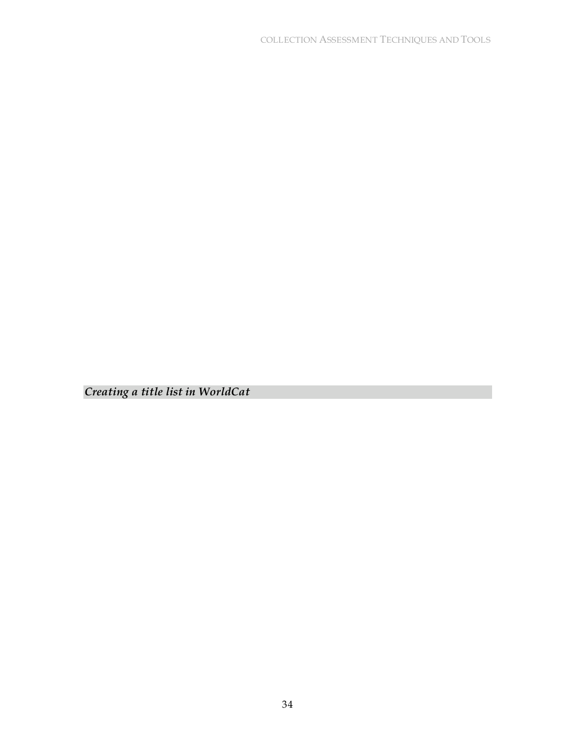*Creating a title list in WorldCat*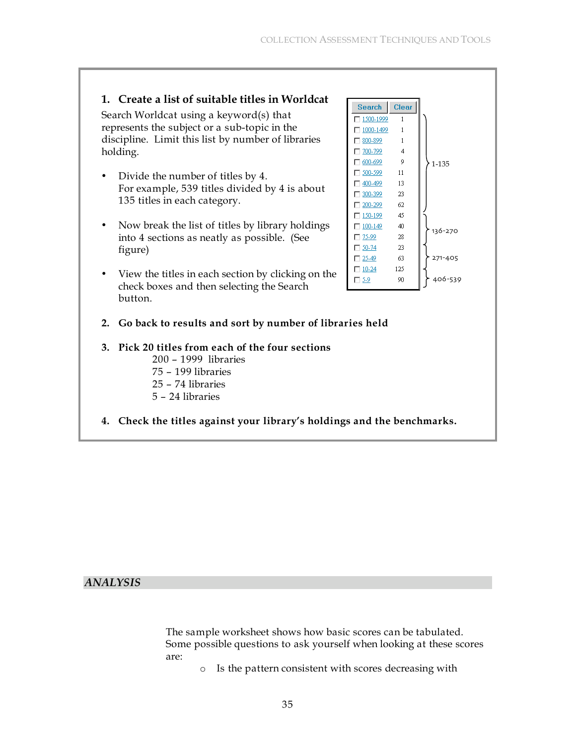# **1. Create a list of suitable titles in Worldcat**

Search Worldcat using a keyword(s) that represents the subject or a sub-topic in the discipline. Limit this list by number of libraries holding.

- Divide the number of titles by 4. For example, 539 titles divided by 4 is about 135 titles in each category.
- Now break the list of titles by library holdings into 4 sections as neatly as possible. (See figure)
- View the titles in each section by clicking on the check boxes and then selecting the Search button.
- **2. Go back to results and sort by number of libraries held**
- **3. Pick 20 titles from each of the four sections** 200 – 1999 libraries 75 – 199 libraries 25 – 74 libraries

5 – 24 libraries

**4. Check the titles against your library's holdings and the benchmarks.**

# *ANALYSIS*

The sample worksheet shows how basic scores can be tabulated. Some possible questions to ask yourself when looking at these scores are:

o Is the pattern consistent with scores decreasing with

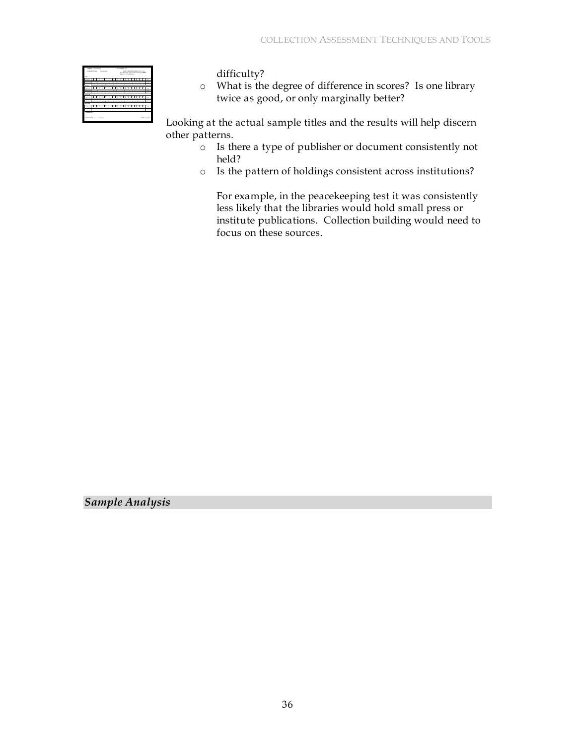| <b>SAINT Pantoning</b><br><b>KANDI TRING</b> | <b>Marketing</b>               | <b>ENEVIDOS/GENERAL GAS and</b><br>Gov. Print, OR, And general accounting ordinate |        |
|----------------------------------------------|--------------------------------|------------------------------------------------------------------------------------|--------|
|                                              |                                | Doppe, Car mere libraries.                                                         |        |
|                                              |                                |                                                                                    |        |
|                                              |                                |                                                                                    |        |
| ٠<br>$\sim$                                  | $\sim$<br><br>$\sim$<br>$\sim$ | $\sim$<br>.<br>$\sim$<br>$\sim$                                                    | $\sim$ |
| <b>SALES</b>                                 |                                |                                                                                    |        |
|                                              |                                |                                                                                    |        |
|                                              |                                |                                                                                    |        |
|                                              | ٠                              | Ξ<br>ī<br>ī<br>٠                                                                   |        |
|                                              |                                |                                                                                    |        |
|                                              |                                |                                                                                    |        |
|                                              |                                |                                                                                    |        |
|                                              | $\sim$                         | Ξ<br>Ξ<br>$\sim$                                                                   |        |
|                                              |                                |                                                                                    |        |
| <b>BOARD</b>                                 |                                |                                                                                    |        |
|                                              |                                |                                                                                    |        |
|                                              |                                |                                                                                    |        |
|                                              |                                |                                                                                    |        |
|                                              |                                |                                                                                    |        |
| COMMENTS                                     |                                |                                                                                    |        |
|                                              |                                |                                                                                    |        |

difficulty?

o What is the degree of difference in scores? Is one library twice as good, or only marginally better?

Looking at the actual sample titles and the results will help discern other patterns.

- o Is there a type of publisher or document consistently not held?
- o Is the pattern of holdings consistent across institutions?

For example, in the peacekeeping test it was consistently less likely that the libraries would hold small press or institute publications. Collection building would need to focus on these sources.

*Sample Analysis*